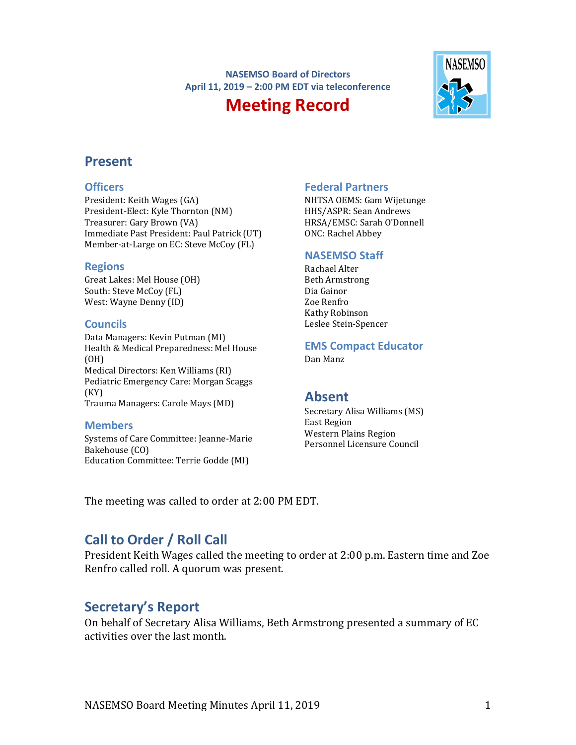**NASEMSO Board of Directors April 11, 2019 – 2:00 PM EDT via teleconference**

# **Meeting Record**



# **Present**

#### **Officers**

President: Keith Wages (GA) President-Elect: Kyle Thornton (NM) Treasurer: Gary Brown (VA) Immediate Past President: Paul Patrick (UT) Member-at-Large on EC: Steve McCoy (FL)

#### **Regions**

Great Lakes: Mel House (OH) South: Steve McCoy (FL) West: Wayne Denny (ID)

#### **Councils**

Data Managers: Kevin Putman (MI) Health & Medical Preparedness: Mel House (OH) Medical Directors: Ken Williams (RI) Pediatric Emergency Care: Morgan Scaggs (KY) Trauma Managers: Carole Mays (MD)

#### **Members**

Systems of Care Committee: Jeanne-Marie Bakehouse (CO) Education Committee: Terrie Godde (MI)

#### **Federal Partners**

NHTSA OEMS: Gam Wijetunge HHS/ASPR: Sean Andrews HRSA/EMSC: Sarah O'Donnell ONC: Rachel Abbey

#### **NASEMSO Staff**

Rachael Alter Beth Armstrong Dia Gainor Zoe Renfro Kathy Robinson Leslee Stein-Spencer

#### **EMS Compact Educator**

Dan Manz

# **Absent**

Secretary Alisa Williams (MS) East Region Western Plains Region Personnel Licensure Council

The meeting was called to order at 2:00 PM EDT.

# **Call to Order / Roll Call**

President Keith Wages called the meeting to order at 2:00 p.m. Eastern time and Zoe Renfro called roll. A quorum was present.

# **Secretary's Report**

On behalf of Secretary Alisa Williams, Beth Armstrong presented a summary of EC activities over the last month.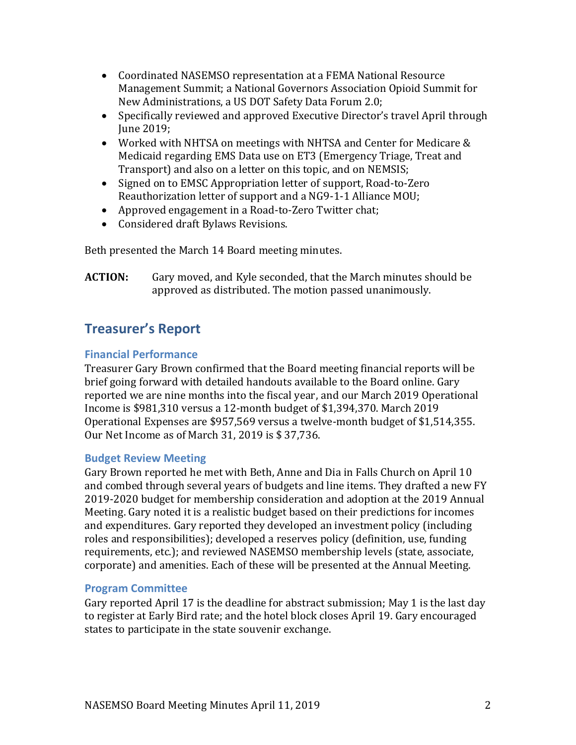- Coordinated NASEMSO representation at a FEMA National Resource Management Summit; a National Governors Association Opioid Summit for New Administrations, a US DOT Safety Data Forum 2.0;
- Specifically reviewed and approved Executive Director's travel April through June 2019;
- Worked with NHTSA on meetings with NHTSA and Center for Medicare & Medicaid regarding EMS Data use on ET3 (Emergency Triage, Treat and Transport) and also on a letter on this topic, and on NEMSIS;
- Signed on to EMSC Appropriation letter of support, Road-to-Zero Reauthorization letter of support and a NG9-1-1 Alliance MOU;
- Approved engagement in a Road-to-Zero Twitter chat;
- Considered draft Bylaws Revisions.

Beth presented the March 14 Board meeting minutes.

**ACTION:** Gary moved, and Kyle seconded, that the March minutes should be approved as distributed. The motion passed unanimously.

# **Treasurer's Report**

# **Financial Performance**

Treasurer Gary Brown confirmed that the Board meeting financial reports will be brief going forward with detailed handouts available to the Board online. Gary reported we are nine months into the fiscal year, and our March 2019 Operational Income is \$981,310 versus a 12-month budget of \$1,394,370. March 2019 Operational Expenses are \$957,569 versus a twelve-month budget of \$1,514,355. Our Net Income as of March 31, 2019 is \$ 37,736.

# **Budget Review Meeting**

Gary Brown reported he met with Beth, Anne and Dia in Falls Church on April 10 and combed through several years of budgets and line items. They drafted a new FY 2019-2020 budget for membership consideration and adoption at the 2019 Annual Meeting. Gary noted it is a realistic budget based on their predictions for incomes and expenditures. Gary reported they developed an investment policy (including roles and responsibilities); developed a reserves policy (definition, use, funding requirements, etc.); and reviewed NASEMSO membership levels (state, associate, corporate) and amenities. Each of these will be presented at the Annual Meeting.

# **Program Committee**

Gary reported April 17 is the deadline for abstract submission; May 1 is the last day to register at Early Bird rate; and the hotel block closes April 19. Gary encouraged states to participate in the state souvenir exchange.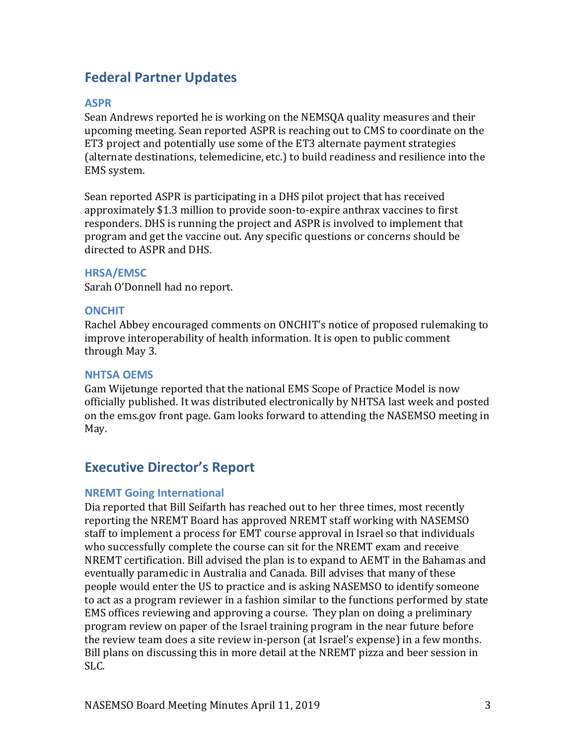# **Federal Partner Updates**

### **ASPR**

Sean Andrews reported he is working on the NEMSQA quality measures and their upcoming meeting. Sean reported ASPR is reaching out to CMS to coordinate on the ET3 project and potentially use some of the ET3 alternate payment strategies (alternate destinations, telemedicine, etc.) to build readiness and resilience into the EMS system.

Sean reported ASPR is participating in a DHS pilot project that has received approximately \$1.3 million to provide soon-to-expire anthrax vaccines to first responders. DHS is running the project and ASPR is involved to implement that program and get the vaccine out. Any specific questions or concerns should be directed to ASPR and DHS.

#### **HRSA/EMSC**

Sarah O'Donnell had no report.

#### **ONCHIT**

Rachel Abbey encouraged comments on ONCHIT's notice of proposed rulemaking to improve interoperability of health information. It is open to public comment through May 3.

#### **NHTSA OEMS**

Gam Wijetunge reported that the national EMS Scope of Practice Model is now officially published. It was distributed electronically by NHTSA last week and posted on the ems.gov front page. Gam looks forward to attending the NASEMSO meeting in May.

# **Executive Director's Report**

# **NREMT Going International**

Dia reported that Bill Seifarth has reached out to her three times, most recently reporting the NREMT Board has approved NREMT staff working with NASEMSO staff to implement a process for EMT course approval in Israel so that individuals who successfully complete the course can sit for the NREMT exam and receive NREMT certification. Bill advised the plan is to expand to AEMT in the Bahamas and eventually paramedic in Australia and Canada. Bill advises that many of these people would enter the US to practice and is asking NASEMSO to identify someone to act as a program reviewer in a fashion similar to the functions performed by state EMS offices reviewing and approving a course. They plan on doing a preliminary program review on paper of the Israel training program in the near future before the review team does a site review in-person (at Israel's expense) in a few months. Bill plans on discussing this in more detail at the NREMT pizza and beer session in SLC.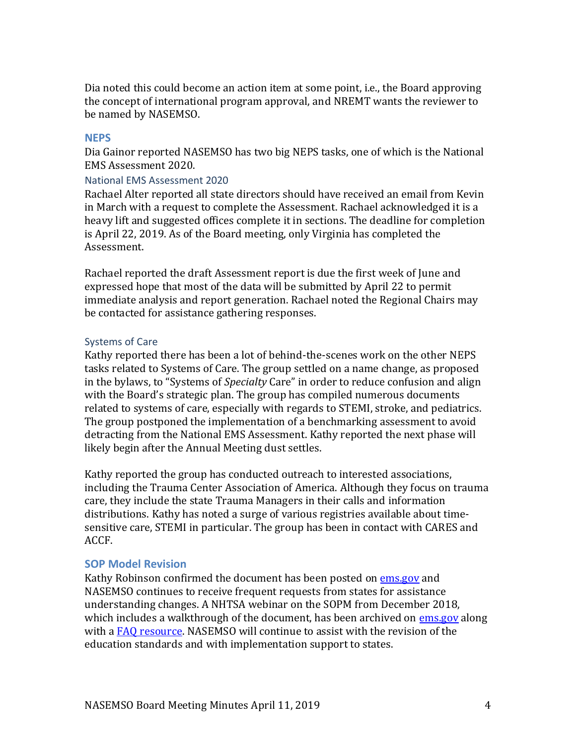Dia noted this could become an action item at some point, i.e., the Board approving the concept of international program approval, and NREMT wants the reviewer to be named by NASEMSO.

#### **NEPS**

Dia Gainor reported NASEMSO has two big NEPS tasks, one of which is the National EMS Assessment 2020.

#### National EMS Assessment 2020

Rachael Alter reported all state directors should have received an email from Kevin in March with a request to complete the Assessment. Rachael acknowledged it is a heavy lift and suggested offices complete it in sections. The deadline for completion is April 22, 2019. As of the Board meeting, only Virginia has completed the Assessment.

Rachael reported the draft Assessment report is due the first week of June and expressed hope that most of the data will be submitted by April 22 to permit immediate analysis and report generation. Rachael noted the Regional Chairs may be contacted for assistance gathering responses.

# Systems of Care

Kathy reported there has been a lot of behind-the-scenes work on the other NEPS tasks related to Systems of Care. The group settled on a name change, as proposed in the bylaws, to "Systems of *Specialty* Care" in order to reduce confusion and align with the Board's strategic plan. The group has compiled numerous documents related to systems of care, especially with regards to STEMI, stroke, and pediatrics. The group postponed the implementation of a benchmarking assessment to avoid detracting from the National EMS Assessment. Kathy reported the next phase will likely begin after the Annual Meeting dust settles.

Kathy reported the group has conducted outreach to interested associations, including the Trauma Center Association of America. Although they focus on trauma care, they include the state Trauma Managers in their calls and information distributions. Kathy has noted a surge of various registries available about timesensitive care, STEMI in particular. The group has been in contact with CARES and ACCF.

# **SOP Model Revision**

Kathy Robinson confirmed the document has been posted on [ems.gov](https://www.ems.gov/pdf/National_EMS_Scope_of_Practice_Model_2019.pdf) and NASEMSO continues to receive frequent requests from states for assistance understanding changes. A NHTSA webinar on the SOPM from December 2018, which includes a walkthrough of the document, has been archived on [ems.gov](https://www.ems.gov/ems-focus.html) along with a [FAQ resource.](https://www.ems.gov/pdf/EMS-Focus-Webinar-December-2018-FAQs.pdf) NASEMSO will continue to assist with the revision of the education standards and with implementation support to states.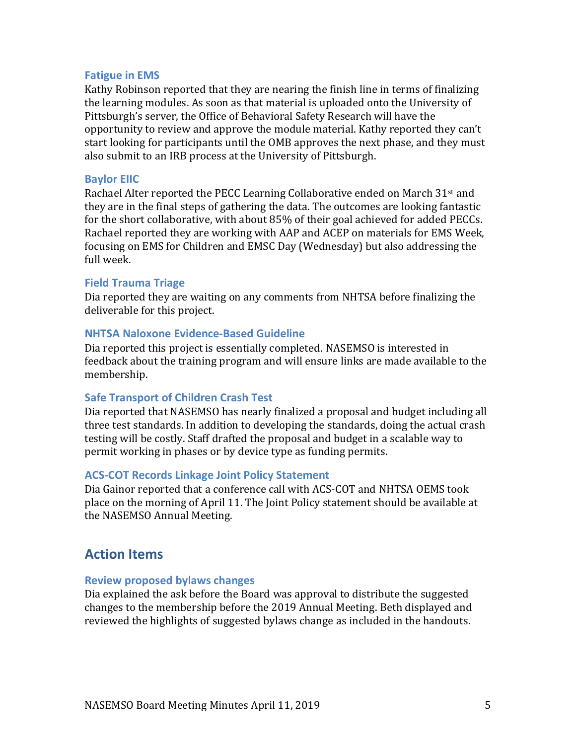#### **Fatigue in EMS**

Kathy Robinson reported that they are nearing the finish line in terms of finalizing the learning modules. As soon as that material is uploaded onto the University of Pittsburgh's server, the Office of Behavioral Safety Research will have the opportunity to review and approve the module material. Kathy reported they can't start looking for participants until the OMB approves the next phase, and they must also submit to an IRB process at the University of Pittsburgh.

#### **Baylor EIIC**

Rachael Alter reported the PECC Learning Collaborative ended on March 31st and they are in the final steps of gathering the data. The outcomes are looking fantastic for the short collaborative, with about 85% of their goal achieved for added PECCs. Rachael reported they are working with AAP and ACEP on materials for EMS Week, focusing on EMS for Children and EMSC Day (Wednesday) but also addressing the full week.

#### **Field Trauma Triage**

Dia reported they are waiting on any comments from NHTSA before finalizing the deliverable for this project.

#### **NHTSA Naloxone Evidence-Based Guideline**

Dia reported this project is essentially completed. NASEMSO is interested in feedback about the training program and will ensure links are made available to the membership.

#### **Safe Transport of Children Crash Test**

Dia reported that NASEMSO has nearly finalized a proposal and budget including all three test standards. In addition to developing the standards, doing the actual crash testing will be costly. Staff drafted the proposal and budget in a scalable way to permit working in phases or by device type as funding permits.

#### **ACS-COT Records Linkage Joint Policy Statement**

Dia Gainor reported that a conference call with ACS-COT and NHTSA OEMS took place on the morning of April 11. The Joint Policy statement should be available at the NASEMSO Annual Meeting.

# **Action Items**

#### **Review proposed bylaws changes**

Dia explained the ask before the Board was approval to distribute the suggested changes to the membership before the 2019 Annual Meeting. Beth displayed and reviewed the highlights of suggested bylaws change as included in the handouts.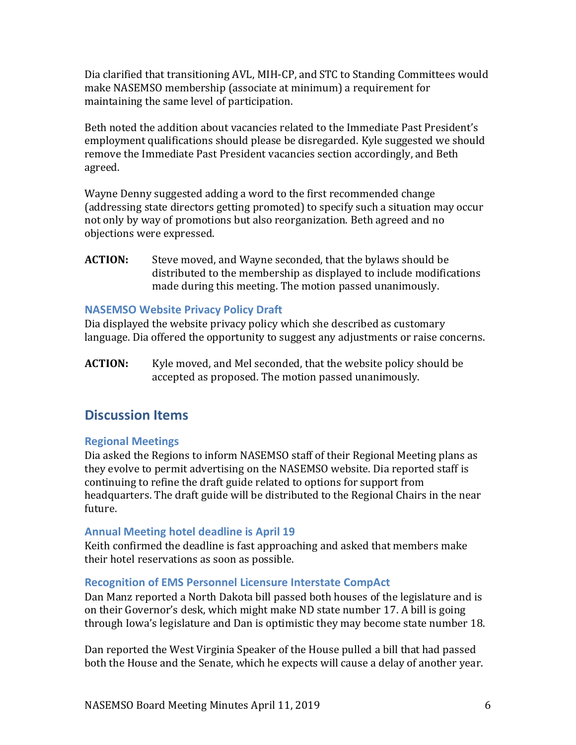Dia clarified that transitioning AVL, MIH-CP, and STC to Standing Committees would make NASEMSO membership (associate at minimum) a requirement for maintaining the same level of participation.

Beth noted the addition about vacancies related to the Immediate Past President's employment qualifications should please be disregarded. Kyle suggested we should remove the Immediate Past President vacancies section accordingly, and Beth agreed.

Wayne Denny suggested adding a word to the first recommended change (addressing state directors getting promoted) to specify such a situation may occur not only by way of promotions but also reorganization. Beth agreed and no objections were expressed.

**ACTION:** Steve moved, and Wayne seconded, that the bylaws should be distributed to the membership as displayed to include modifications made during this meeting. The motion passed unanimously.

# **NASEMSO Website Privacy Policy Draft**

Dia displayed the website privacy policy which she described as customary language. Dia offered the opportunity to suggest any adjustments or raise concerns.

**ACTION:** Kyle moved, and Mel seconded, that the website policy should be accepted as proposed. The motion passed unanimously.

# **Discussion Items**

# **Regional Meetings**

Dia asked the Regions to inform NASEMSO staff of their Regional Meeting plans as they evolve to permit advertising on the NASEMSO website. Dia reported staff is continuing to refine the draft guide related to options for support from headquarters. The draft guide will be distributed to the Regional Chairs in the near future.

# **Annual Meeting hotel deadline is April 19**

Keith confirmed the deadline is fast approaching and asked that members make their hotel reservations as soon as possible.

# **Recognition of EMS Personnel Licensure Interstate CompAct**

Dan Manz reported a North Dakota bill passed both houses of the legislature and is on their Governor's desk, which might make ND state number 17. A bill is going through Iowa's legislature and Dan is optimistic they may become state number 18.

Dan reported the West Virginia Speaker of the House pulled a bill that had passed both the House and the Senate, which he expects will cause a delay of another year.